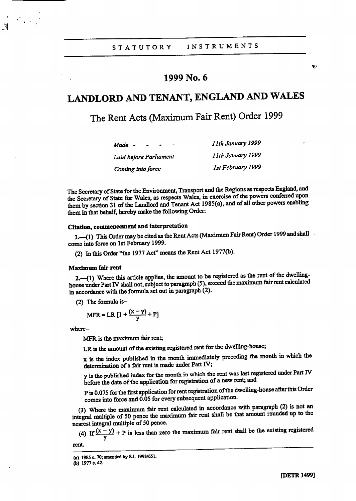# 1999 No. 6

# LANDLORD AND TENANT, ENGLAND AND WALES

The Rent Acts (Maximum Fair Rent) Order 1999

| Made -                 | 11th January 1999  |
|------------------------|--------------------|
| Luid before Parliament | I lih January 1999 |
| Coming into force      | 1st February 1999  |

The Secretary of State for the Environment, Transport and the Regions as respects England, and the Secretary of State for Wales, as respects Wales, in exercise of the powers conferred upon them by section 31 of the Landlord and Tenant Act 1985(a), and of all other powers enabling them in that behalf, hereby make the following Order

# Citation, commencement and interpretation

1.—(1) This Order may be cited as the Rent Acts (Maximum Fair Rent) Order 1999 and shall come into force on 1st February 1999.

(2) In this Order "the 1977 Act" means the Rent Act 1977(b).

## Maximum fair rent

2. (1) Where this article applies, the amount to be registered as the rent of the dwellinghouse under Part IV shall not, subject to paragraph (5), exceed the maximum fair rent calculated in accordance with the formula set out in paragraph (2).

(2) The formula is-

$$
MFR = LR [1 + \frac{(x - y)}{y} + P]
$$

where-

MFR is the maximum fair rent;

LR is the amount of the existing registered rent for the dwelling-house;

x is the index published in the month immediately preceding the month in which the determination of a fair rent is made under Part IV;

y is the published index for the month in which the rent was last registered under Part IV before the date of the application for registration of a new rent; and

P is 0.075 for the first application for rent registration of the dwelling-house after this Order comes into force and 0.05 for every subsequent application.

(3) Where the maximum fair rent calculated in accordance with paragraph (2) is not an integral multiple of 50 pence the maximum fair rent shall be that amount rounded up to the nearest integral multiple of 50 pence.

(4) If  $\frac{(x-y)}{y} + P$  is less than zero the maximum fair rent shall be the existing registered

rent.

ų.

<sup>(</sup>a) 1985 c. 70; amended by S.1.1993/651.

<sup>(</sup>b) 1977 c.42.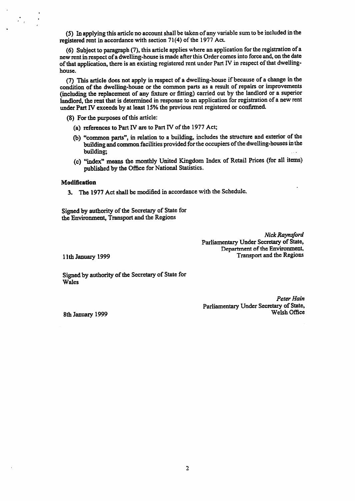(5) In applying this article no account shall be taken of any variable sum to be included in the registered rent in accordance with section 71(4) of the 1977 Act.

(6) Subject to paragraph (7), this article applies where an application for the registration of a new rent in respect of a dwelling-house is made after this Order comes into force and, on the date of that application, there is an existing registered rent under Part IV in respect of that dwellinghouse.

(7) This article does not apply in respect of a dwelling-house if because of a change in the condition of the dwelling-house or the common parts as a result of repairs or improvements (including the replacement of any fixture or fitting) carried out by the landlord or a superior landlord, the rent that is determined in response to an application for registration of a new rent under Part IV exceeds by at least 15% the previous rent registered or confirmed.

(8) For the purposes of this article:

- (a) references to Part IV are to Part IV of the 1977 Act;
- (b) "common parts", in relation to a building, includes the structure and exterior of the building and common facilities provided for the occupiers of the dwelling-houses in the building:
- (c) "index" means the monthly United Kingdom Index of Retail Prices (for all items) published by the Office for National Statistics.

## Modification

 $\mathcal{F}_{\mathcal{A}}^{(n)}$ 

3. The 1977 Act shall be modified in accordance with the Schedule.

Signed by authority of the Secretary of State for the Environment, Transport and the Regions

> Nick Raynsford Parliamentary Under Secretary of State, Department of the Environment, **Transport and the Regions**

11th January 1999

Signed by authority of the Secretary of State for **Wales** 

> Peter Hain Parliamentary Under Secretary of State, Welsh Office

8th January 1999